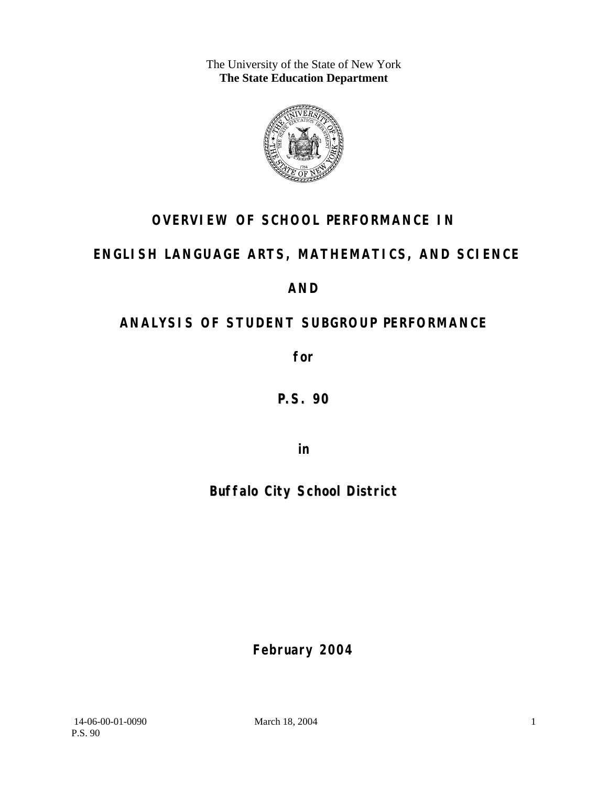The University of the State of New York **The State Education Department** 



# **OVERVIEW OF SCHOOL PERFORMANCE IN**

# **ENGLISH LANGUAGE ARTS, MATHEMATICS, AND SCIENCE**

**AND** 

# **ANALYSIS OF STUDENT SUBGROUP PERFORMANCE**

**for** 

**P.S. 90**

**in** 

# **Buffalo City School District**

**February 2004**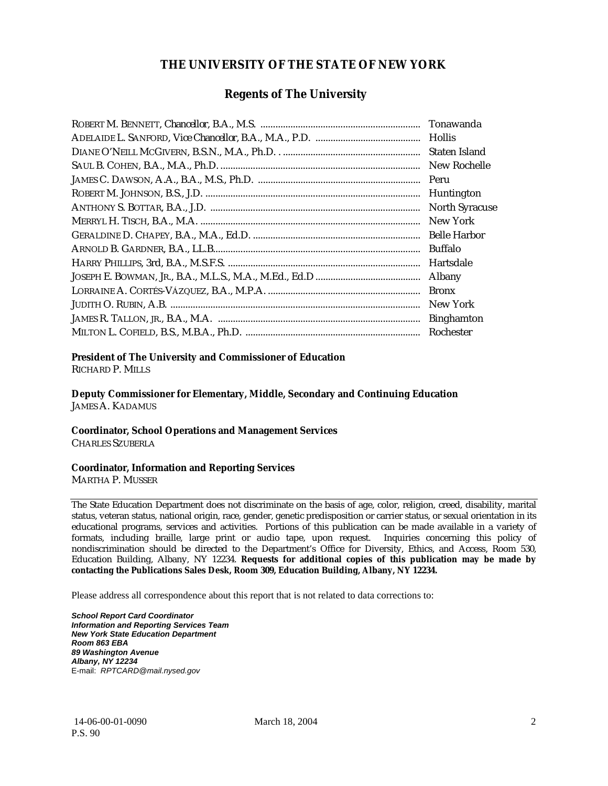## **THE UNIVERSITY OF THE STATE OF NEW YORK**

## **Regents of The University**

| Tonawanda             |
|-----------------------|
| <b>Hollis</b>         |
| Staten Island         |
| New Rochelle          |
| Peru                  |
| Huntington            |
| <b>North Syracuse</b> |
| New York              |
| <b>Belle Harbor</b>   |
| <b>Buffalo</b>        |
| Hartsdale             |
| Albany                |
| <b>Bronx</b>          |
| New York              |
| <b>Binghamton</b>     |
| Rochester             |

#### **President of The University and Commissioner of Education**

RICHARD P. MILLS

**Deputy Commissioner for Elementary, Middle, Secondary and Continuing Education**  JAMES A. KADAMUS

## **Coordinator, School Operations and Management Services**

CHARLES SZUBERLA

#### **Coordinator, Information and Reporting Services**

MARTHA P. MUSSER

The State Education Department does not discriminate on the basis of age, color, religion, creed, disability, marital status, veteran status, national origin, race, gender, genetic predisposition or carrier status, or sexual orientation in its educational programs, services and activities. Portions of this publication can be made available in a variety of formats, including braille, large print or audio tape, upon request. Inquiries concerning this policy of nondiscrimination should be directed to the Department's Office for Diversity, Ethics, and Access, Room 530, Education Building, Albany, NY 12234. **Requests for additional copies of this publication may be made by contacting the Publications Sales Desk, Room 309, Education Building, Albany, NY 12234.** 

Please address all correspondence about this report that is not related to data corrections to:

*School Report Card Coordinator Information and Reporting Services Team New York State Education Department Room 863 EBA 89 Washington Avenue Albany, NY 12234*  E-mail: *RPTCARD@mail.nysed.gov*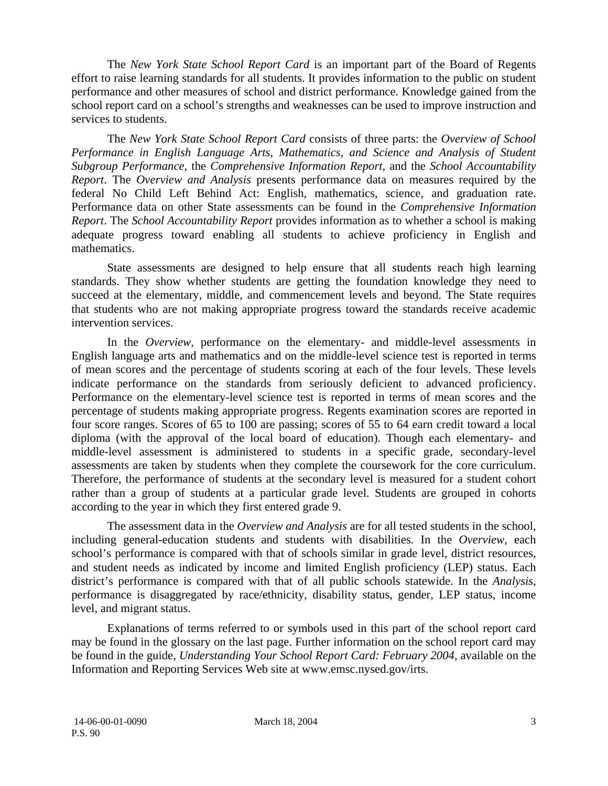The *New York State School Report Card* is an important part of the Board of Regents effort to raise learning standards for all students. It provides information to the public on student performance and other measures of school and district performance. Knowledge gained from the school report card on a school's strengths and weaknesses can be used to improve instruction and services to students.

The *New York State School Report Card* consists of three parts: the *Overview of School Performance in English Language Arts, Mathematics, and Science and Analysis of Student Subgroup Performance,* the *Comprehensive Information Report,* and the *School Accountability Report*. The *Overview and Analysis* presents performance data on measures required by the federal No Child Left Behind Act: English, mathematics, science, and graduation rate. Performance data on other State assessments can be found in the *Comprehensive Information Report*. The *School Accountability Report* provides information as to whether a school is making adequate progress toward enabling all students to achieve proficiency in English and mathematics.

State assessments are designed to help ensure that all students reach high learning standards. They show whether students are getting the foundation knowledge they need to succeed at the elementary, middle, and commencement levels and beyond. The State requires that students who are not making appropriate progress toward the standards receive academic intervention services.

In the *Overview*, performance on the elementary- and middle-level assessments in English language arts and mathematics and on the middle-level science test is reported in terms of mean scores and the percentage of students scoring at each of the four levels. These levels indicate performance on the standards from seriously deficient to advanced proficiency. Performance on the elementary-level science test is reported in terms of mean scores and the percentage of students making appropriate progress. Regents examination scores are reported in four score ranges. Scores of 65 to 100 are passing; scores of 55 to 64 earn credit toward a local diploma (with the approval of the local board of education). Though each elementary- and middle-level assessment is administered to students in a specific grade, secondary-level assessments are taken by students when they complete the coursework for the core curriculum. Therefore, the performance of students at the secondary level is measured for a student cohort rather than a group of students at a particular grade level. Students are grouped in cohorts according to the year in which they first entered grade 9.

The assessment data in the *Overview and Analysis* are for all tested students in the school, including general-education students and students with disabilities. In the *Overview*, each school's performance is compared with that of schools similar in grade level, district resources, and student needs as indicated by income and limited English proficiency (LEP) status. Each district's performance is compared with that of all public schools statewide. In the *Analysis*, performance is disaggregated by race/ethnicity, disability status, gender, LEP status, income level, and migrant status.

Explanations of terms referred to or symbols used in this part of the school report card may be found in the glossary on the last page. Further information on the school report card may be found in the guide, *Understanding Your School Report Card: February 2004*, available on the Information and Reporting Services Web site at www.emsc.nysed.gov/irts.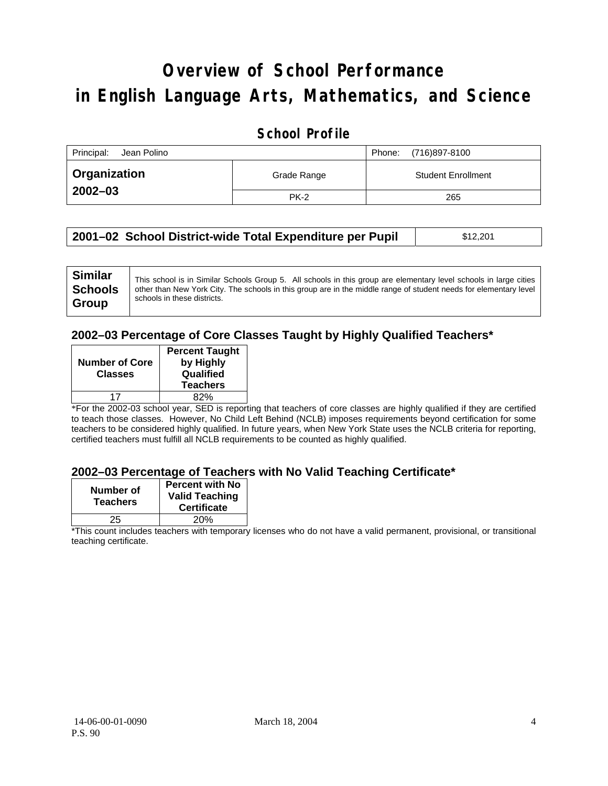# **Overview of School Performance in English Language Arts, Mathematics, and Science**

# **School Profile**

| Principal:<br>Jean Polino |             | (716)897-8100<br>Phone:   |
|---------------------------|-------------|---------------------------|
| <b>Organization</b>       | Grade Range | <b>Student Enrollment</b> |
| $2002 - 03$               | <b>PK-2</b> | 265                       |

| 2001–02 School District-wide Total Expenditure per Pupil | \$12,201 |
|----------------------------------------------------------|----------|
|----------------------------------------------------------|----------|

| This school is in Similar Schools Group 5. All schools in this group are elementary level schools in large cities<br>other than New York City. The schools in this group are in the middle range of student needs for elementary level<br>schools in these districts. |
|-----------------------------------------------------------------------------------------------------------------------------------------------------------------------------------------------------------------------------------------------------------------------|
|                                                                                                                                                                                                                                                                       |
|                                                                                                                                                                                                                                                                       |

## **2002–03 Percentage of Core Classes Taught by Highly Qualified Teachers\***

| <b>Number of Core</b><br><b>Classes</b> | <b>Percent Taught</b><br>by Highly<br>Qualified<br><b>Teachers</b> |
|-----------------------------------------|--------------------------------------------------------------------|
| 17                                      | 82%                                                                |

\*For the 2002-03 school year, SED is reporting that teachers of core classes are highly qualified if they are certified to teach those classes. However, No Child Left Behind (NCLB) imposes requirements beyond certification for some teachers to be considered highly qualified. In future years, when New York State uses the NCLB criteria for reporting, certified teachers must fulfill all NCLB requirements to be counted as highly qualified.

### **2002–03 Percentage of Teachers with No Valid Teaching Certificate\***

| Number of<br><b>Teachers</b> | <b>Percent with No</b><br><b>Valid Teaching</b><br><b>Certificate</b> |
|------------------------------|-----------------------------------------------------------------------|
| 25                           | 20%                                                                   |

\*This count includes teachers with temporary licenses who do not have a valid permanent, provisional, or transitional teaching certificate.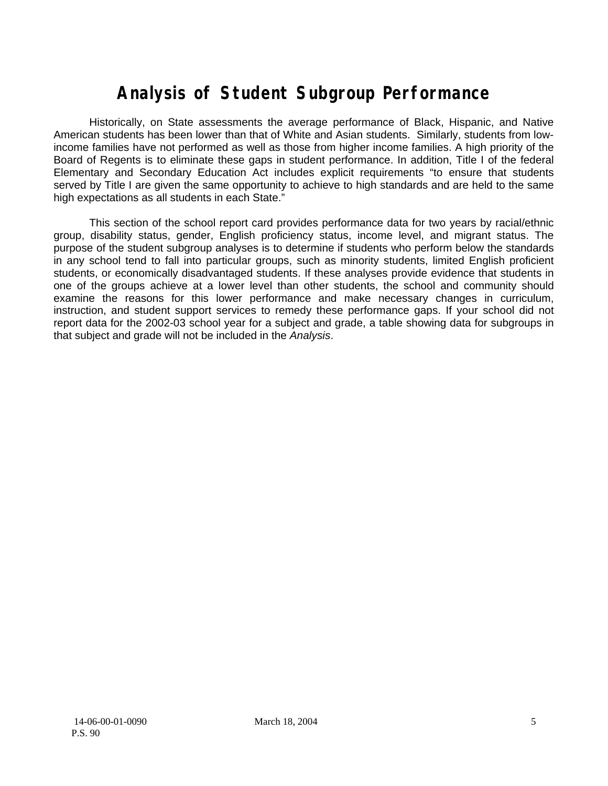# **Analysis of Student Subgroup Performance**

Historically, on State assessments the average performance of Black, Hispanic, and Native American students has been lower than that of White and Asian students. Similarly, students from lowincome families have not performed as well as those from higher income families. A high priority of the Board of Regents is to eliminate these gaps in student performance. In addition, Title I of the federal Elementary and Secondary Education Act includes explicit requirements "to ensure that students served by Title I are given the same opportunity to achieve to high standards and are held to the same high expectations as all students in each State."

This section of the school report card provides performance data for two years by racial/ethnic group, disability status, gender, English proficiency status, income level, and migrant status. The purpose of the student subgroup analyses is to determine if students who perform below the standards in any school tend to fall into particular groups, such as minority students, limited English proficient students, or economically disadvantaged students. If these analyses provide evidence that students in one of the groups achieve at a lower level than other students, the school and community should examine the reasons for this lower performance and make necessary changes in curriculum, instruction, and student support services to remedy these performance gaps. If your school did not report data for the 2002-03 school year for a subject and grade, a table showing data for subgroups in that subject and grade will not be included in the *Analysis*.